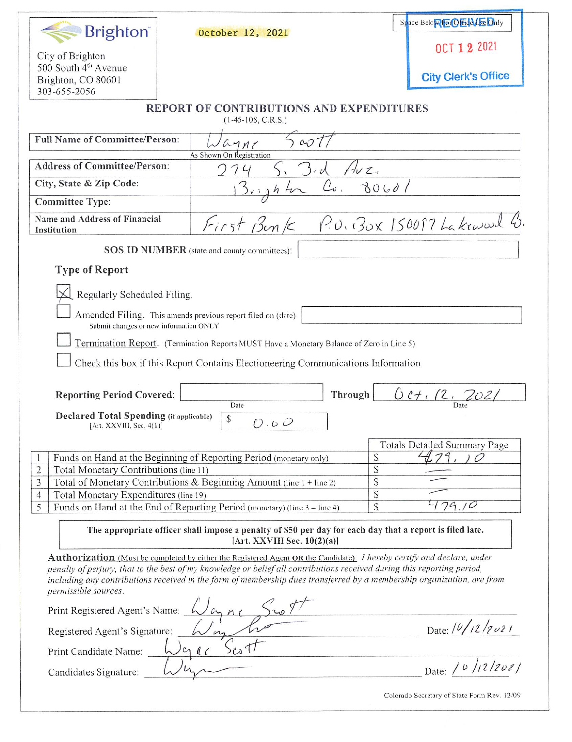| <b>Brighton</b>                                                                                                                         | October 12, 2021                                                                                                                     | Space Below For Office Only         |
|-----------------------------------------------------------------------------------------------------------------------------------------|--------------------------------------------------------------------------------------------------------------------------------------|-------------------------------------|
| City of Brighton                                                                                                                        |                                                                                                                                      | OCT 1 2 2021                        |
| 500 South 4 <sup>th</sup> Avenue<br>Brighton, CO 80601                                                                                  |                                                                                                                                      | <b>City Clerk's Office</b>          |
| 303-655-2056                                                                                                                            |                                                                                                                                      |                                     |
|                                                                                                                                         | <b>REPORT OF CONTRIBUTIONS AND EXPENDITURES</b><br>$(1-45-108, C.R.S.)$                                                              |                                     |
| <b>Full Name of Committee/Person:</b>                                                                                                   | 5cot<br>$a$ ne                                                                                                                       |                                     |
| <b>Address of Committee/Person:</b>                                                                                                     | As Shown On Registration<br>$H\nu z.$<br>$5-d$                                                                                       |                                     |
| City, State & Zip Code:                                                                                                                 | $c_{\cdot}$<br>$3$ <sub>right</sub>                                                                                                  | 30601                               |
| <b>Committee Type:</b>                                                                                                                  |                                                                                                                                      |                                     |
| Name and Address of Financial<br>Institution                                                                                            | First Bunk P.U. BOX 150087 Lakewood 4                                                                                                |                                     |
|                                                                                                                                         | <b>SOS ID NUMBER</b> (state and county committees):                                                                                  |                                     |
| <b>Type of Report</b>                                                                                                                   |                                                                                                                                      |                                     |
| Regularly Scheduled Filing.                                                                                                             |                                                                                                                                      |                                     |
|                                                                                                                                         | Amended Filing. This amends previous report filed on (date)                                                                          |                                     |
| Submit changes or new information ONLY                                                                                                  |                                                                                                                                      |                                     |
|                                                                                                                                         | Termination Report. (Termination Reports MUST Have a Monetary Balance of Zero in Line 5)                                             |                                     |
|                                                                                                                                         | Check this box if this Report Contains Electioneering Communications Information                                                     |                                     |
|                                                                                                                                         |                                                                                                                                      |                                     |
| <b>Reporting Period Covered:</b>                                                                                                        | Through<br>Date                                                                                                                      | 0.07.72.2021                        |
| Declared Total Spending (if applicable)                                                                                                 | $\mathcal{S}$<br>O.0O                                                                                                                |                                     |
| [Art. XXVIII, Sec. 4(1)]                                                                                                                |                                                                                                                                      |                                     |
|                                                                                                                                         |                                                                                                                                      | <b>Totals Detailed Summary Page</b> |
|                                                                                                                                         | Funds on Hand at the Beginning of Reporting Period (monetary only)                                                                   | $\mathcal{S}$                       |
| $\sqrt{2}$<br>Total Monetary Contributions (line 11)                                                                                    |                                                                                                                                      | \$                                  |
| 3                                                                                                                                       | Total of Monetary Contributions & Beginning Amount (line 1 + line 2)                                                                 | $\mathbb{S}$                        |
| Total Monetary Expenditures (line 19)<br>$\overline{4}$                                                                                 |                                                                                                                                      | \$<br>79,10                         |
| 5                                                                                                                                       | Funds on Hand at the End of Reporting Period (monetary) (line 3 – line 4)                                                            | $\mathcal{S}$                       |
| The appropriate officer shall impose a penalty of \$50 per day for each day that a report is filed late.<br>[Art. XXVIII Sec. 10(2)(a)] |                                                                                                                                      |                                     |
|                                                                                                                                         | <b>Authorization</b> (Must be completed by either the Registered Agent OR the Candidate): <i>I hereby certify and declare, under</i> |                                     |
|                                                                                                                                         | penalty of perjury, that to the best of my knowledge or belief all contributions received during this reporting period,              |                                     |
| permissible sources.                                                                                                                    | including any contributions received in the form of membership dues transferred by a membership organization, are from               |                                     |
| Print Registered Agent's Name: Wayne Sur 1                                                                                              |                                                                                                                                      |                                     |
|                                                                                                                                         |                                                                                                                                      | Date: $10/12/2021$                  |
| Print Candidate Name: $\bigcup c_1 \parallel c$                                                                                         |                                                                                                                                      |                                     |
|                                                                                                                                         |                                                                                                                                      |                                     |
| Candidates Signature:                                                                                                                   |                                                                                                                                      | Date: / b /12/2021                  |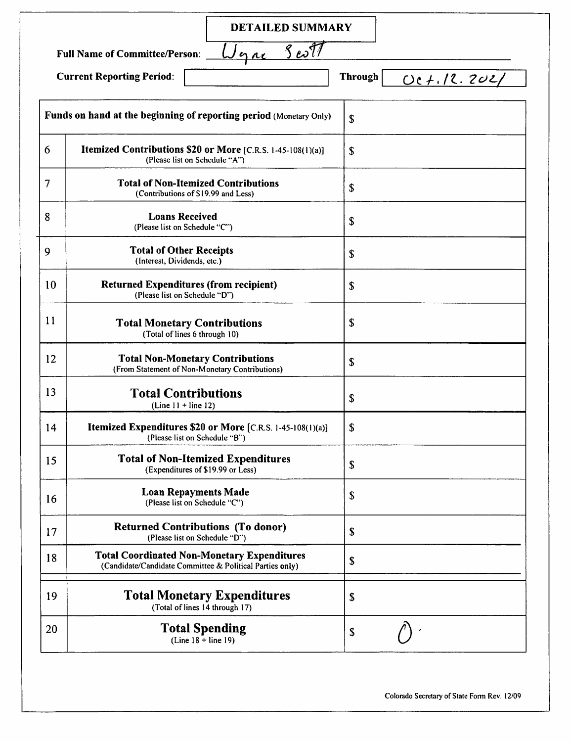|                                  | <b>DETAILED SUMMARY</b>                                                                                        |                                        |
|----------------------------------|----------------------------------------------------------------------------------------------------------------|----------------------------------------|
|                                  | gre Sest<br><b>Full Name of Committee/Person:</b>                                                              |                                        |
| <b>Current Reporting Period:</b> |                                                                                                                | <b>Through</b><br><u> OC +.12.202/</u> |
|                                  | Funds on hand at the beginning of reporting period (Monetary Only)                                             | $\mathbf S$                            |
| 6                                | Itemized Contributions \$20 or More [C.R.S. 1-45-108(1)(a)]<br>(Please list on Schedule "A")                   | \$                                     |
| 7                                | <b>Total of Non-Itemized Contributions</b><br>(Contributions of \$19.99 and Less)                              | \$                                     |
| 8                                | <b>Loans Received</b><br>(Please list on Schedule "C")                                                         | S                                      |
| 9                                | <b>Total of Other Receipts</b><br>(Interest, Dividends, etc.)                                                  | $\mathbf S$                            |
| 10                               | <b>Returned Expenditures (from recipient)</b><br>(Please list on Schedule "D")                                 | S                                      |
| 11                               | <b>Total Monetary Contributions</b><br>(Total of lines 6 through 10)                                           | S                                      |
| 12                               | <b>Total Non-Monetary Contributions</b><br>(From Statement of Non-Monetary Contributions)                      | S                                      |
| 13                               | <b>Total Contributions</b><br>$(Line 11 + line 12)$                                                            | S                                      |
| 14                               | Itemized Expenditures \$20 or More [C.R.S. 1-45-108(1)(a)]<br>(Please list on Schedule "B")                    | S                                      |
| 15                               | <b>Total of Non-Itemized Expenditures</b><br>(Expenditures of \$19.99 or Less)                                 | \$                                     |
| 16                               | <b>Loan Repayments Made</b><br>(Please list on Schedule "C")                                                   | \$                                     |
| 17                               | <b>Returned Contributions (To donor)</b><br>(Please list on Schedule "D")                                      | \$                                     |
| 18                               | <b>Total Coordinated Non-Monetary Expenditures</b><br>(Candidate/Candidate Committee & Political Parties only) | \$                                     |
| 19                               | <b>Total Monetary Expenditures</b><br>(Total of lines 14 through 17)                                           | \$                                     |
| 20                               | <b>Total Spending</b><br>$(Line 18 + line 19)$                                                                 | \$                                     |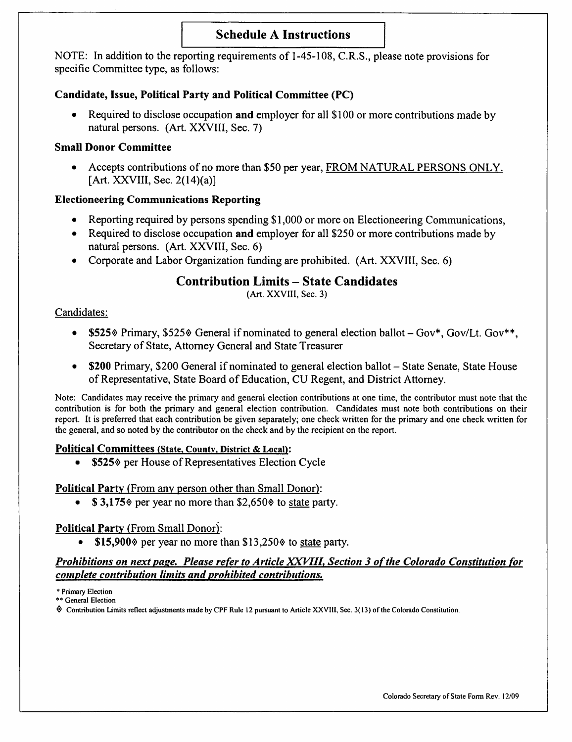# Schedule A Instructions

NOTE: In addition to the reporting requirements of 1-45-108, C.R.S., please note provisions for specific Committee type, as follows:

# Candidate, Issue, Political Party and Political Committee (PC)

• Required to disclose occupation and employer for all \$ 100 or more contributions made by natural persons. (Art. XXVIII, Sec. 7)

# Small Donor Committee

• Accepts contributions of no more than \$50 per year, FROM NATURAL PERSONS ONLY. [Art. XXVIII, Sec. 2(14)(a)]

# Electioneering Communications Reporting

- Reporting required by persons spending \$1,000 or more on Electioneering Communications,<br>• Required to disclose occupation and employer for all \$250 or more contributions made by
- Required to disclose occupation and employer for all \$250 or more contributions made by natural persons. (Art. XXVIII, Sec. 6)
- Corporate and Labor Organization funding are prohibited. (Art. XXVIII, Sec. 6)

# Contribution Limits - State Candidates

(Art. XXVIII, Sec. 3)

# Candidates:

- \$525% Primary, \$525% General if nominated to general election ballot  $-Gov^*$ , Gov/Lt. Gov\*\*, Secretary of State, Attorney General and State Treasurer
- \$200 Primary, \$200 General if nominated to general election ballot State Senate, State House of Representative, State Board of Education, CU Regent, and District Attorney.

Note: Candidates may receive the primary and general election contributions at one time, the contributor must note that the contribution is for both the primary and general election contribution. Candidates must note both contributions on their report. It is preferred that each contribution be given separately; one check written for the primary and one check written for the general, and so noted by the contributor on the check and by the recipient on the report.

# Political Committees (State, Countv, District & Local):

• \$525% per House of Representatives Election Cycle

# Political Party (From any person other than Small Donor):

 $$3,175$  per year no more than  $$2,650$  to state party.

# Political Party (From Small Donor):

\$15,900 $\Diamond$  per year no more than \$13,250 $\Diamond$  to state party.

# Prohibitions on next page. Please refer to Article XXVIII, Section 3 of the Colorado Constitution for complete contribution limits and prohibited contributions.

\* Primary Election

\*\* General Election

^ Contribution Limits reflect adjustments made by CPF Rule 12 pursuant to Article XXVIll, Sec. 3( 13) of the Colorado Constitution.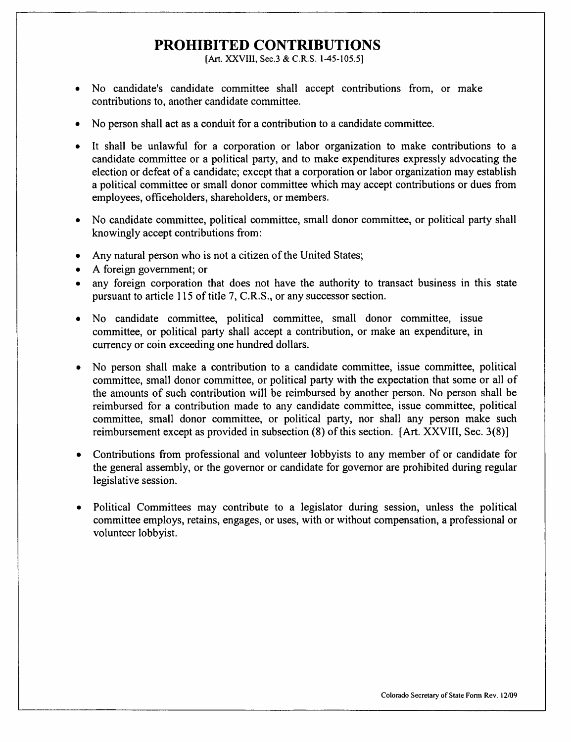# PROHIBITED CONTRIBUTIONS

[Art. XXVIII, Sec.3 & C.R.S. 1-45-105.5]

- No candidate's candidate committee shall accept contributions from, or make contributions to, another candidate committee.
- No person shall act as a conduit for a contribution to a candidate committee.
- It shall be unlawful for a corporation or labor organization to make contributions to a candidate committee or a political party, and to make expenditures expressly advocating the election or defeat of a candidate; except that a corporation or labor organization may establish a political committee or small donor committee which may accept contributions or dues from employees, officeholders, shareholders, or members.
- No candidate committee, political committee, small donor committee, or political party shall knowingly accept contributions from:
- Any natural person who is not a citizen of the United States;
- A foreign government; or
- any foreign corporation that does not have the authority to transact business in this state pursuant to article 115 of title 7, C.R.S., or any successor section.
- No candidate committee, political committee, small donor committee, issue committee, or political party shall accept a contribution, or make an expenditure, in currency or coin exceeding one hundred dollars.
- No person shall make a contribution to a candidate committee, issue committee, political committee, small donor committee, or political party with the expectation that some or all of the amounts of such contribution will be reimbursed by another person. No person shall be reimbursed for a contribution made to any candidate committee, issue committee, political committee, small donor committee, or political party, nor shall any person make such reimbursement except as provided in subsection (8) of this section. [Art. XXVIII, Sec. 3(8)]
- Contributions from professional and volunteer lobbyists to any member of or candidate for the general assembly, or the governor or candidate for governor are prohibited during regular legislative session.
- Political Committees may contribute to a legislator during session, unless the political committee employs, retains, engages, or uses, with or without compensation, a professional or volunteer lobbyist.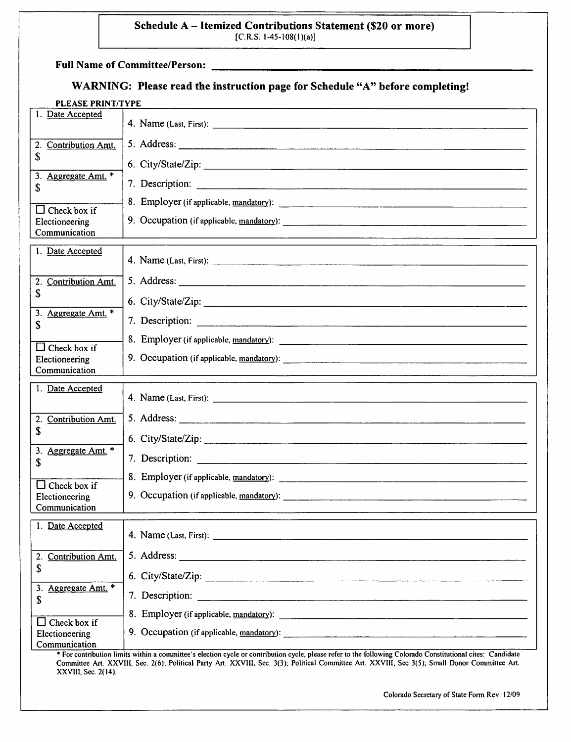# Schedule A - Itemized Contributions Statement (\$20 or more)

 $[C.R.S. 1-45-108(1)(a)]$ 

Full Name of Committee/Person:

# WARNING: Please read the instruction page for Schedule "A" before completing!

| <b>PLEASE PRINT/TYPE</b>                               |                 |  |
|--------------------------------------------------------|-----------------|--|
| 1. Date Accepted                                       |                 |  |
| <b>Contribution Amt.</b><br>2.                         |                 |  |
| \$                                                     |                 |  |
| 3. Aggregate Amt. *<br>\$                              |                 |  |
|                                                        |                 |  |
| $\Box$ Check box if<br>Electioneering<br>Communication |                 |  |
| 1. Date Accepted                                       |                 |  |
|                                                        |                 |  |
| <b>Contribution Amt.</b><br>2.<br>\$                   |                 |  |
| 3. Aggregate Amt. *                                    |                 |  |
| \$                                                     | 7. Description: |  |
| $\Box$ Check box if                                    |                 |  |
| Electioneering<br>Communication                        |                 |  |
|                                                        |                 |  |
|                                                        |                 |  |
| 1. Date Accepted                                       |                 |  |
| 2. Contribution Amt.                                   |                 |  |
| \$                                                     |                 |  |
| Aggregate Amt. *<br>3.<br>\$                           |                 |  |
|                                                        |                 |  |
| $\Box$ Check box if<br>Electioneering<br>Communication |                 |  |
| 1. Date Accepted                                       |                 |  |
|                                                        |                 |  |
| <b>Contribution Amt.</b><br>2.                         |                 |  |
| \$                                                     |                 |  |
| 3. Aggregate Amt. *<br>S                               |                 |  |
|                                                        |                 |  |
| Check box if<br>IJ<br>Electioneering<br>Communication  |                 |  |

\* For contribution limits within a committee's election cycle or contribution cycle, please refer to the following Colorado Constitutional cites: Candidate Committee An. XXVIH, Sec. 2(6); Political Party Art. XXVIll, Sec. 3(3); Political Committee Art. XXVIII, Sec 3(5); Small Donor Committee Art. XXVIII, Sec. 2(14).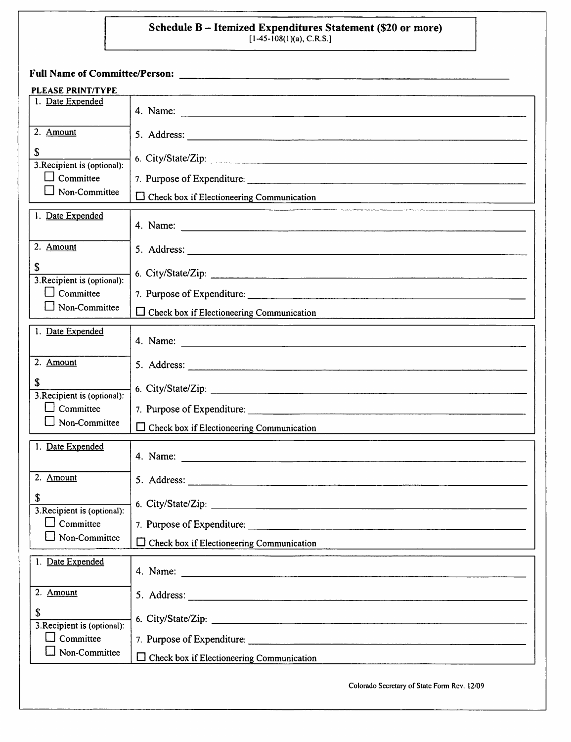# Schedule B – Itemized Expenditures Statement (\$20 or more)<br>[1-45-108(1)(a), C.R.S.]

| PLEASE PRINT/TYPE<br>1. Date Expended                                  |                                                                                                                                                                                                                                |
|------------------------------------------------------------------------|--------------------------------------------------------------------------------------------------------------------------------------------------------------------------------------------------------------------------------|
| 2. Amount                                                              |                                                                                                                                                                                                                                |
| \$<br>3. Recipient is (optional):<br>$\Box$ Committee<br>Non-Committee | 6. City/State/Zip:                                                                                                                                                                                                             |
|                                                                        | $\Box$ Check box if Electioneering Communication                                                                                                                                                                               |
| 1. Date Expended                                                       |                                                                                                                                                                                                                                |
| 2. Amount                                                              |                                                                                                                                                                                                                                |
| \$<br>3. Recipient is (optional):                                      | 6. City/State/Zip:                                                                                                                                                                                                             |
| Committee<br>$\blacksquare$                                            |                                                                                                                                                                                                                                |
| $\Box$ Non-Committee                                                   | $\Box$ Check box if Electioneering Communication<br>and the state of the company of the state of the state of the state of the state of the state of the state of                                                              |
| 1. Date Expended                                                       |                                                                                                                                                                                                                                |
| 2. Amount                                                              |                                                                                                                                                                                                                                |
| \$<br>3. Recipient is (optional):                                      |                                                                                                                                                                                                                                |
| $\Box$ Committee                                                       |                                                                                                                                                                                                                                |
| Non-Committee                                                          | $\Box$ Check box if Electioneering Communication                                                                                                                                                                               |
| 1. Date Expended                                                       |                                                                                                                                                                                                                                |
| 2. Amount                                                              |                                                                                                                                                                                                                                |
| \$<br>3. Recipient is (optional):                                      | 6. City/State/Zip: 1990. 2002. 2003. 2014. 2015. 2016. 2017. 2018. 2019. 2019. 2019. 2019. 2019. 2019. 2019. 2019. 2019. 2019. 2019. 2019. 2019. 2019. 2019. 2019. 2019. 2019. 2019. 2019. 2019. 2019. 2019. 2019. 2019. 2019. |
| Committee<br>Non-Committee                                             | 7. Purpose of Expenditure:                                                                                                                                                                                                     |
|                                                                        | $\Box$ Check box if Electioneering Communication                                                                                                                                                                               |
| 1. Date Expended                                                       |                                                                                                                                                                                                                                |
| 2. Amount                                                              |                                                                                                                                                                                                                                |
| \$<br>3. Recipient is (optional):<br>Committee<br>LΙ                   |                                                                                                                                                                                                                                |
|                                                                        |                                                                                                                                                                                                                                |
| Non-Committee                                                          | $\Box$ Check box if Electioneering Communication                                                                                                                                                                               |
|                                                                        | Colorado Secretary of State Form Rev. 12/09                                                                                                                                                                                    |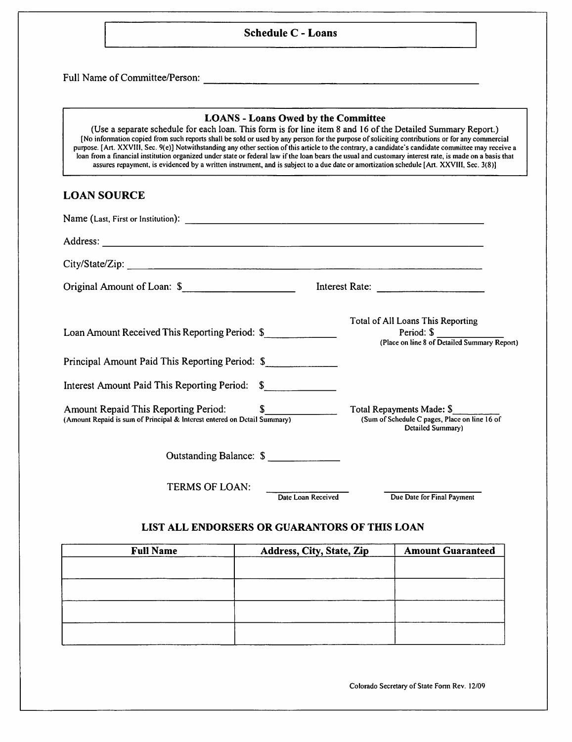#### Schedule C - Loans

Full Name of Committee/Person:

#### LOANS - Loans Owed by the Committee

(Use a separate schedule for each loan. This form is for line item 8 and 16 of the Detailed Summary Report.) [No infonnation copied from such reports shall be sold or used by any person for the puipose of soliciting contributions or for any commercial purpose. [Art. XXVIII, Sec. 9(e)] Notwithstanding any other section of this article to the contrary, a candidate's candidate committee may receive a loan from a financial institution organized under state or federal law if the loan bears the usual and customary interest rate, is made on a basis that assures repayment, is evidenced by a written instrument, and is subject to a due date or amortization schedule [Art. XXVIII, Sec. 3(8)]

#### LOAN SOURCE

| City/State/Zip:                                                                                                     |                                                                                                        |
|---------------------------------------------------------------------------------------------------------------------|--------------------------------------------------------------------------------------------------------|
| Original Amount of Loan: \$                                                                                         |                                                                                                        |
| Loan Amount Received This Reporting Period: \$                                                                      | Total of All Loans This Reporting<br>Period: \$<br>(Place on line 8 of Detailed Summary Report)        |
| Principal Amount Paid This Reporting Period: \$                                                                     |                                                                                                        |
| Interest Amount Paid This Reporting Period: \$                                                                      |                                                                                                        |
| Amount Repaid This Reporting Period: \$<br>(Amount Repaid is sum of Principal & Interest entered on Detail Summary) | Total Repayments Made: \$<br>(Sum of Schedule C pages, Place on line 16 of<br><b>Detailed Summary)</b> |
| Outstanding Balance: \$                                                                                             |                                                                                                        |
| TERMS OF LOAN:                                                                                                      | Date Loan Received<br>Due Date for Final Payment                                                       |

#### LIST ALL ENDORSERS OR GUARANTORS OF THIS LOAN

| <b>Full Name</b> | Address, City, State, Zip | <b>Amount Guaranteed</b> |
|------------------|---------------------------|--------------------------|
|                  |                           |                          |
|                  |                           |                          |
|                  |                           |                          |
|                  |                           |                          |
|                  |                           |                          |
|                  |                           |                          |
|                  |                           |                          |

Colorado Secretary of State Form Rev. 12/09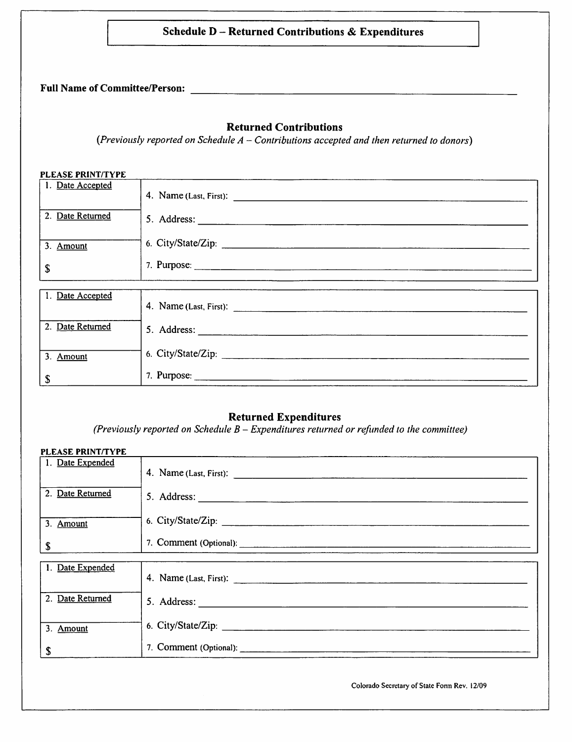|                          | <b>Schedule D - Returned Contributions &amp; Expenditures</b>                                                               |
|--------------------------|-----------------------------------------------------------------------------------------------------------------------------|
|                          |                                                                                                                             |
|                          | <b>Returned Contributions</b><br>(Previously reported on Schedule $A$ – Contributions accepted and then returned to donors) |
| <b>PLEASE PRINT/TYPE</b> |                                                                                                                             |
| 1. Date Accepted         |                                                                                                                             |
| 2. Date Returned         |                                                                                                                             |
| 3. Amount                | 6. City/State/Zip:                                                                                                          |
| \$                       |                                                                                                                             |
| 1. Date Accepted         | 4. Name (Last, First): 2008. [2016] 2016. [2016] 2017. [2016] 2017. [2016] 2017. [2016] 2017. [2016] 2017. [20              |
| 2. Date Returned         |                                                                                                                             |
| 3. Amount                | 6. City/State/Zip:                                                                                                          |
|                          |                                                                                                                             |

# Returned Expenditures

(Previously reported on Schedule  $B$  – Expenditures returned or refunded to the committee)

| PLEASE PRINT/TYPE |                    |
|-------------------|--------------------|
| 1. Date Expended  |                    |
| 2. Date Returned  |                    |
| 3. Amount         | 6. City/State/Zip: |
| S                 |                    |
| 1. Date Expended  |                    |
|                   |                    |
| 2. Date Returned  |                    |
| 3. Amount         |                    |
| \$                |                    |

Colorado Secretary of State Form Rev. 12/09